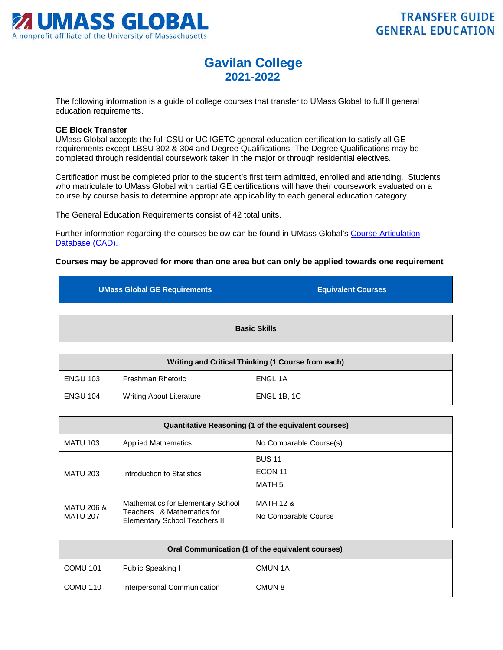

## **Gavilan College 2021-2022**

The following information is a guide of college courses that transfer to UMass Global to fulfill general education requirements.

## **GE Block Transfer**

UMass Global accepts the full CSU or UC IGETC general education certification to satisfy all GE requirements except LBSU 302 & 304 and Degree Qualifications. The Degree Qualifications may be completed through residential coursework taken in the major or through residential electives.

Certification must be completed prior to the student's first term admitted, enrolled and attending. Students who matriculate to UMass Global with partial GE certifications will have their coursework evaluated on a course by course basis to determine appropriate applicability to each general education category.

The General Education Requirements consist of 42 total units.

Further information regarding the courses below can be found in UMass Global's Course Articulation Database (CAD).

## **Courses may be approved for more than one area but can only be applied towards one requirement**

| <b>UMass Global GE Requirements</b> | <b>Equivalent Courses</b> |
|-------------------------------------|---------------------------|
| <b>Basic Skills</b>                 |                           |

| Writing and Critical Thinking (1 Course from each) |                                 |                    |
|----------------------------------------------------|---------------------------------|--------------------|
| <b>ENGU 103</b>                                    | Freshman Rhetoric               | ENGL 1A            |
| <b>ENGU 104</b>                                    | <b>Writing About Literature</b> | <b>ENGL 1B, 1C</b> |

| Quantitative Reasoning (1 of the equivalent courses) |                                                                                                           |                                              |
|------------------------------------------------------|-----------------------------------------------------------------------------------------------------------|----------------------------------------------|
| <b>MATU 103</b>                                      | <b>Applied Mathematics</b>                                                                                | No Comparable Course(s)                      |
| <b>MATU 203</b>                                      | Introduction to Statistics                                                                                | <b>BUS 11</b><br>ECON 11<br>MATH 5           |
| <b>MATU 206 &amp;</b><br><b>MATU 207</b>             | Mathematics for Elementary School<br>Teachers I & Mathematics for<br><b>Elementary School Teachers II</b> | <b>MATH 12 &amp;</b><br>No Comparable Course |

| Oral Communication (1 of the equivalent courses) |                             |         |
|--------------------------------------------------|-----------------------------|---------|
| COMU 101                                         | Public Speaking I           | CMUN 1A |
| COMU 110                                         | Interpersonal Communication | CMUN 8  |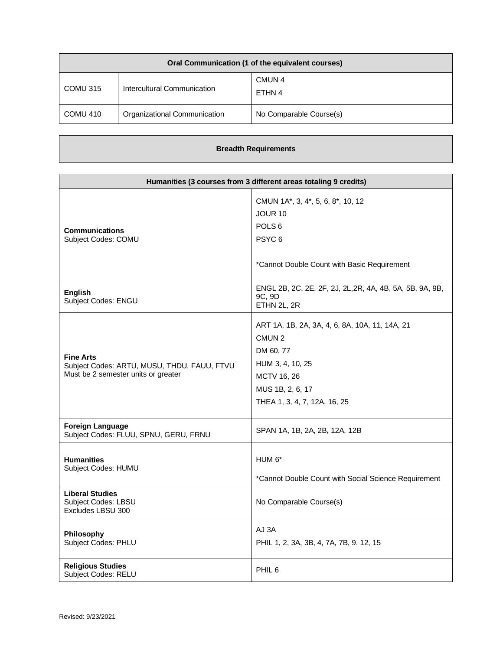| Oral Communication (1 of the equivalent courses) |                              |                             |
|--------------------------------------------------|------------------------------|-----------------------------|
| COMU 315                                         | Intercultural Communication  | CMUN <sub>4</sub><br>ETHN 4 |
| COMU 410                                         | Organizational Communication | No Comparable Course(s)     |

## **Breadth Requirements**

| Humanities (3 courses from 3 different areas totaling 9 credits)                                       |                                                                                                                                                                         |
|--------------------------------------------------------------------------------------------------------|-------------------------------------------------------------------------------------------------------------------------------------------------------------------------|
| <b>Communications</b><br>Subject Codes: COMU                                                           | CMUN 1A*, 3, 4*, 5, 6, 8*, 10, 12<br>JOUR 10<br>POLS <sub>6</sub><br>PSYC <sub>6</sub><br>*Cannot Double Count with Basic Requirement                                   |
| <b>English</b><br>Subject Codes: ENGU                                                                  | ENGL 2B, 2C, 2E, 2F, 2J, 2L, 2R, 4A, 4B, 5A, 5B, 9A, 9B,<br>9C, 9D<br>ETHN 2L, 2R                                                                                       |
| <b>Fine Arts</b><br>Subject Codes: ARTU, MUSU, THDU, FAUU, FTVU<br>Must be 2 semester units or greater | ART 1A, 1B, 2A, 3A, 4, 6, 8A, 10A, 11, 14A, 21<br>CMUN <sub>2</sub><br>DM 60, 77<br>HUM 3, 4, 10, 25<br>MCTV 16, 26<br>MUS 1B, 2, 6, 17<br>THEA 1, 3, 4, 7, 12A, 16, 25 |
| <b>Foreign Language</b><br>Subject Codes: FLUU, SPNU, GERU, FRNU                                       | SPAN 1A, 1B, 2A, 2B, 12A, 12B                                                                                                                                           |
| <b>Humanities</b><br>Subject Codes: HUMU                                                               | HUM $6*$<br>*Cannot Double Count with Social Science Requirement                                                                                                        |
| <b>Liberal Studies</b><br>Subject Codes: LBSU<br>Excludes LBSU 300                                     | No Comparable Course(s)                                                                                                                                                 |
| Philosophy<br>Subject Codes: PHLU                                                                      | AJ 3A<br>PHIL 1, 2, 3A, 3B, 4, 7A, 7B, 9, 12, 15                                                                                                                        |
| <b>Religious Studies</b><br>Subject Codes: RELU                                                        | PHIL <sub>6</sub>                                                                                                                                                       |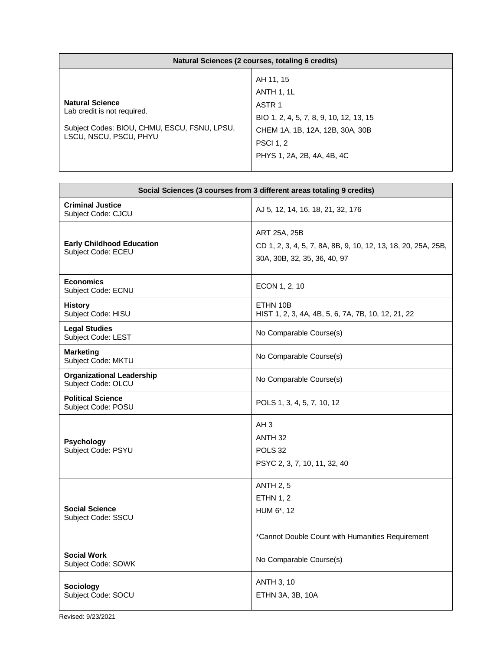| Natural Sciences (2 courses, totaling 6 credits)                                                                                |                                                                                                                                                                                     |
|---------------------------------------------------------------------------------------------------------------------------------|-------------------------------------------------------------------------------------------------------------------------------------------------------------------------------------|
| <b>Natural Science</b><br>Lab credit is not required.<br>Subject Codes: BIOU, CHMU, ESCU, FSNU, LPSU,<br>LSCU, NSCU, PSCU, PHYU | AH 11, 15<br><b>ANTH 1, 1L</b><br>ASTR <sub>1</sub><br>BIO 1, 2, 4, 5, 7, 8, 9, 10, 12, 13, 15<br>CHEM 1A, 1B, 12A, 12B, 30A, 30B<br><b>PSCI 1, 2</b><br>PHYS 1, 2A, 2B, 4A, 4B, 4C |

<u> 1989 - Johann Barn, mars eta bainar eta bat erroman erroman erroman erroman erroman erroman erroman erroman e</u>

h

| Social Sciences (3 courses from 3 different areas totaling 9 credits) |                                                                                                               |  |
|-----------------------------------------------------------------------|---------------------------------------------------------------------------------------------------------------|--|
| <b>Criminal Justice</b><br>Subject Code: CJCU                         | AJ 5, 12, 14, 16, 18, 21, 32, 176                                                                             |  |
| <b>Early Childhood Education</b><br>Subject Code: ECEU                | ART 25A, 25B<br>CD 1, 2, 3, 4, 5, 7, 8A, 8B, 9, 10, 12, 13, 18, 20, 25A, 25B,<br>30A, 30B, 32, 35, 36, 40, 97 |  |
| <b>Economics</b><br>Subject Code: ECNU                                | ECON 1, 2, 10                                                                                                 |  |
| <b>History</b><br>Subject Code: HISU                                  | ETHN 10B<br>HIST 1, 2, 3, 4A, 4B, 5, 6, 7A, 7B, 10, 12, 21, 22                                                |  |
| <b>Legal Studies</b><br>Subject Code: LEST                            | No Comparable Course(s)                                                                                       |  |
| <b>Marketing</b><br>Subject Code: MKTU                                | No Comparable Course(s)                                                                                       |  |
| <b>Organizational Leadership</b><br>Subject Code: OLCU                | No Comparable Course(s)                                                                                       |  |
| <b>Political Science</b><br>Subject Code: POSU                        | POLS 1, 3, 4, 5, 7, 10, 12                                                                                    |  |
| <b>Psychology</b><br>Subject Code: PSYU                               | AH <sub>3</sub><br>ANTH <sub>32</sub><br>POLS <sub>32</sub><br>PSYC 2, 3, 7, 10, 11, 32, 40                   |  |
| <b>Social Science</b><br>Subject Code: SSCU                           | <b>ANTH 2, 5</b><br><b>ETHN 1, 2</b><br>HUM 6*, 12<br>*Cannot Double Count with Humanities Requirement        |  |
| <b>Social Work</b><br>Subject Code: SOWK                              | No Comparable Course(s)                                                                                       |  |
| <b>Sociology</b><br>Subject Code: SOCU                                | <b>ANTH 3, 10</b><br>ETHN 3A, 3B, 10A                                                                         |  |